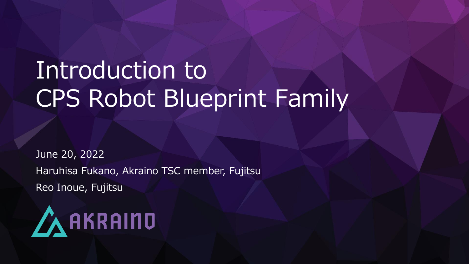## Introduction to CPS Robot Blueprint Family

June 20, 2022 Haruhisa Fukano, Akraino TSC member, Fujitsu Reo Inoue, Fujitsu

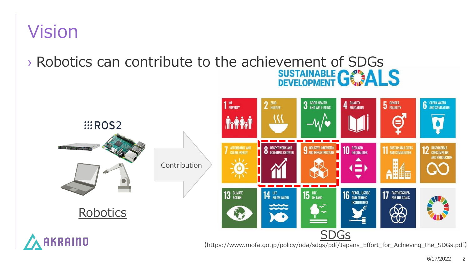#### Vision

# > Robotics can contribute to the achievement of SDGs<br>
SUSTAINABLE G

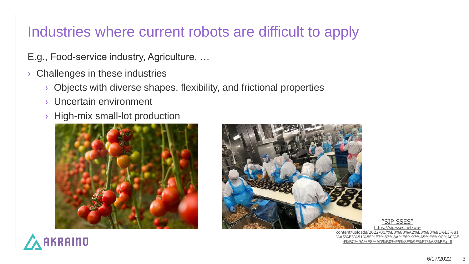#### Industries where current robots are difficult to apply

- E.g., Food-service industry, Agriculture, …
- › Challenges in these industries
	- › Objects with diverse shapes, flexibility, and frictional properties
	- › Uncertain environment
	- › High-mix small-lot production





"SIP SSES"

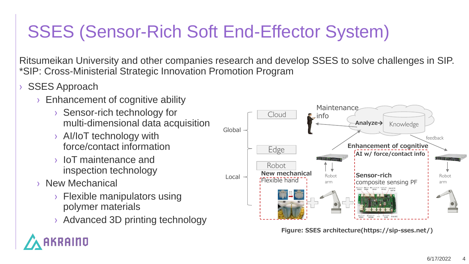### SSES (Sensor-Rich Soft End-Effector System)

Ritsumeikan University and other companies research and develop SSES to solve challenges in SIP. \*SIP: Cross-Ministerial Strategic Innovation Promotion Program

- **SSES Approach** 
	- › Enhancement of cognitive ability
		- › Sensor-rich technology for multi-dimensional data acquisition
		- › AI/IoT technology with force/contact information
		- › IoT maintenance and inspection technology
	- › New Mechanical
		- › Flexible manipulators using polymer materials
		- › Advanced 3D printing technology



**Figure: SSES architecture(https://sip-sses.net/)**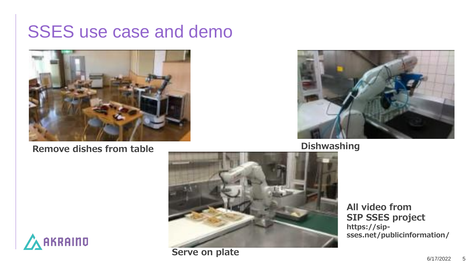#### SSES use case and demo



**Remove dishes from table Dishwashing** 





**All video from SIP SSES project https://sipsses.net/publicinformation/**



**Serve on plate**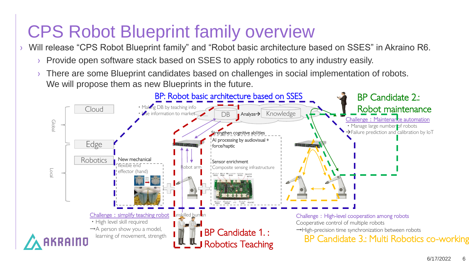#### CPS Robot Blueprint family overview

- › Will release "CPS Robot Blueprint family" and "Robot basic architecture based on SSES" in Akraino R6.
	- › Provide open software stack based on SSES to apply robotics to any industry easily.
	- There are some Blueprint candidates based on challenges in social implementation of robots. We will propose them as new Blueprints in the future.

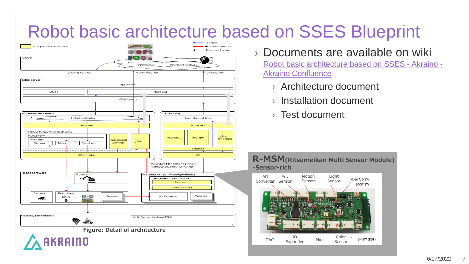#### Robot basic architecture based on SSES Blueprint



- › Documents are available on wiki [Robot basic architecture based on SSES -](https://wiki.akraino.org/display/AK/Robot+basic+architecture+based+on+SSES) Akraino - Akraino Confluence
	- › Architecture document
	- › Installation document
	- › Test document



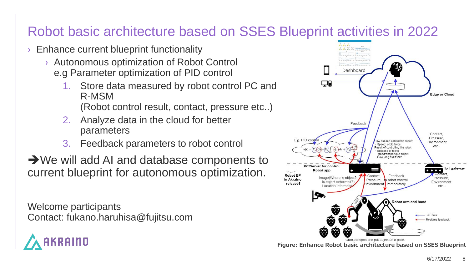#### Robot basic architecture based on SSES Blueprint activities in 2022

- Enhance current blueprint functionality
	- › Autonomous optimization of Robot Control e.g Parameter optimization of PID control
		- 1. Store data measured by robot control PC and R-MSM (Robot control result, contact, pressure etc..)
		- 2. Analyze data in the cloud for better parameters
		- 3. Feedback parameters to robot control

➔We will add AI and database components to current blueprint for autonomous optimization.

Welcome participants Contact: fukano.haruhisa@fujitsu.com





**Figure: Enhance Robot basic architecture based on SSES Blueprint**